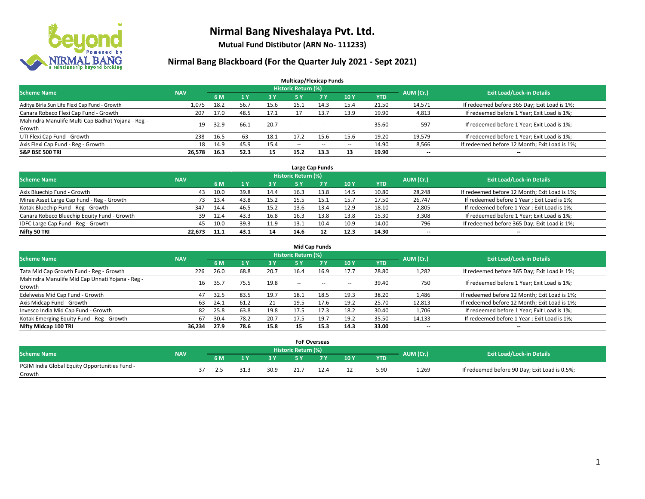

**Mutual Fund Distibutor (ARN No- 111233)**

### **Nirmal Bang Blackboard (For the Quarter July 2021 - Sept 2021)**

| <b>Multicap/Flexicap Funds</b>                    |            |      |      |           |                            |            |            |            |           |                                               |  |  |  |
|---------------------------------------------------|------------|------|------|-----------|----------------------------|------------|------------|------------|-----------|-----------------------------------------------|--|--|--|
| <b>Scheme Name</b>                                | <b>NAV</b> |      |      |           | <b>Historic Return (%)</b> |            |            |            | AUM (Cr.) | <b>Exit Load/Lock-in Details</b>              |  |  |  |
|                                                   |            | 6 M  | 71 Y | <b>3Y</b> | 5 Y                        | <b>7 Y</b> | <b>10Y</b> | <b>YTD</b> |           |                                               |  |  |  |
| Aditya Birla Sun Life Flexi Cap Fund - Growth     | 1,075      | 18.2 | 56.7 | 15.6      | 15.1                       | 14.3       | 15.4       | 21.50      | 14,571    | If redeemed before 365 Day; Exit Load is 1%;  |  |  |  |
| Canara Robeco Flexi Cap Fund - Growth             | 207        | 17.0 | 48.5 | 17.1      |                            | 13.7       | 13.9       | 19.90      | 4,813     | If redeemed before 1 Year; Exit Load is 1%;   |  |  |  |
| Mahindra Manulife Multi Cap Badhat Yojana - Reg - | 19         | 32.9 | 66.1 | 20.7      | $\overline{\phantom{a}}$   |            |            | 35.60      | 597       | If redeemed before 1 Year; Exit Load is 1%;   |  |  |  |
| Growth                                            |            |      |      |           |                            | $\sim$     | --         |            |           |                                               |  |  |  |
| UTI Flexi Cap Fund - Growth                       | 238        | 16.5 | 63   | 18.1      | 17.2                       | 15.6       | 15.6       | 19.20      | 19,579    | If redeemed before 1 Year; Exit Load is 1%;   |  |  |  |
| Axis Flexi Cap Fund - Reg - Growth                | 18         | 14.9 | 45.9 | 15.4      | $\overline{\phantom{a}}$   | $\sim$     | --         | 14.90      | 8,566     | If redeemed before 12 Month; Exit Load is 1%; |  |  |  |
| <b>S&amp;P BSE 500 TRI</b>                        | 26,578     | 16.3 | 52.3 | 15        | 15.2                       | 13.3       | 13         | 19.90      | --        | $\overline{\phantom{a}}$                      |  |  |  |

| Large Cap Funds                             |            |      |      |      |                            |            |      |            |           |                                               |  |  |  |
|---------------------------------------------|------------|------|------|------|----------------------------|------------|------|------------|-----------|-----------------------------------------------|--|--|--|
| <b>Scheme Name</b>                          | <b>NAV</b> |      |      |      | <b>Historic Return (%)</b> |            |      |            | AUM (Cr.) | <b>Exit Load/Lock-in Details</b>              |  |  |  |
|                                             |            | 6 M  |      | 3 Y  |                            | <b>7 Y</b> | 10Y  | <b>YTD</b> |           |                                               |  |  |  |
| Axis Bluechip Fund - Growth                 | 43         | 10.0 | 39.8 | 14.4 | 16.3                       | 13.8       | 14.5 | 10.80      | 28,248    | If redeemed before 12 Month; Exit Load is 1%; |  |  |  |
| Mirae Asset Large Cap Fund - Reg - Growth   | 73         | 13.4 | 43.8 | 15.2 | 15.5                       |            | 15.7 | 17.50      | 26,747    | If redeemed before 1 Year; Exit Load is 1%;   |  |  |  |
| Kotak Bluechip Fund - Reg - Growth          | 347        | 14.4 | 46.5 | 15.2 | 13.6                       | 13.4       | 12.9 | 18.10      | 2,805     | If redeemed before 1 Year; Exit Load is 1%;   |  |  |  |
| Canara Robeco Bluechip Equity Fund - Growth | 39         | 12.4 | 43.3 | 16.8 | 16.3                       | 13.8       | 13.8 | 15.30      | 3,308     | If redeemed before 1 Year; Exit Load is 1%;   |  |  |  |
| IDFC Large Cap Fund - Reg - Growth          | 45         | 10.0 | 39.3 | 11.9 | 13.1                       | 10.4       | 10.9 | 14.00      | 796       | If redeemed before 365 Day; Exit Load is 1%;  |  |  |  |
| Nifty 50 TRI                                | 22.673     | 11.1 | 43.1 | 14   | 14.6                       |            | 12.3 | 14.30      | $- -$     | $- -$                                         |  |  |  |

|                                                           |            |      |      |      |                     | <b>Mid Cap Funds</b> |                          |       |                          |                                               |
|-----------------------------------------------------------|------------|------|------|------|---------------------|----------------------|--------------------------|-------|--------------------------|-----------------------------------------------|
| <b>Scheme Name</b>                                        | <b>NAV</b> |      |      |      | Historic Return (%) |                      |                          |       | AUM (Cr.)                | <b>Exit Load/Lock-in Details</b>              |
|                                                           |            | 6 M  |      | 3 Y  | 5 Y                 | <b>7Y</b>            | 10Y                      | YTD   |                          |                                               |
| Tata Mid Cap Growth Fund - Reg - Growth                   | 226        | 26.0 | 68.8 | 20.7 | 16.4                | 16.9                 | 17.7                     | 28.80 | 1,282                    | If redeemed before 365 Day; Exit Load is 1%;  |
| Mahindra Manulife Mid Cap Unnati Yojana - Reg -<br>Growth | 16         | 35.7 | 75.5 | 19.8 | $- -$               | $\sim$               | $\overline{\phantom{a}}$ | 39.40 | 750                      | If redeemed before 1 Year; Exit Load is 1%;   |
| Edelweiss Mid Cap Fund - Growth                           | 47         | 32.5 | 83.5 | 19.7 | 18.1                | 18.5                 | 19.3                     | 38.20 | 1,486                    | If redeemed before 12 Month; Exit Load is 1%; |
| Axis Midcap Fund - Growth                                 | 63         | 24.1 | 61.2 | 21   | 19.5                | 17.6                 | 19.2                     | 25.70 | 12,813                   | If redeemed before 12 Month; Exit Load is 1%; |
| Invesco India Mid Cap Fund - Growth                       | 82         | 25.8 | 63.8 | 19.8 | 17.5                | 17.3                 | 18.2                     | 30.40 | 1,706                    | If redeemed before 1 Year; Exit Load is 1%;   |
| Kotak Emerging Equity Fund - Reg - Growth                 | 67         | 30.4 | 78.2 | 20.7 | 17.5                | 19.7                 | 19.2                     | 35.50 | 14,133                   | If redeemed before 1 Year; Exit Load is 1%;   |
| Nifty Midcap 100 TRI                                      | 36.234     | 27.9 | 78.6 | 15.8 | 15                  | 15.3                 | 14.3                     | 33.00 | $\overline{\phantom{a}}$ | $-$                                           |

|                                               |            |     |      |      |                            | <b>FoF Overseas</b> |     |            |           |                                               |
|-----------------------------------------------|------------|-----|------|------|----------------------------|---------------------|-----|------------|-----------|-----------------------------------------------|
| <b>Scheme Name</b>                            | <b>NAV</b> |     |      |      | <b>Historic Return (%)</b> |                     |     |            | AUM (Cr.) | <b>Exit Load/Lock-in Details</b>              |
|                                               |            | 6 M |      | 2V   |                            | 7 V                 | 10Y | <b>YTD</b> |           |                                               |
| PGIM India Global Equity Opportunities Fund - |            |     | 31.3 | 30.9 | 21.7                       |                     |     | 5.90       | 1,269     | If redeemed before 90 Day; Exit Load is 0.5%; |
| Growth                                        |            |     |      |      |                            |                     |     |            |           |                                               |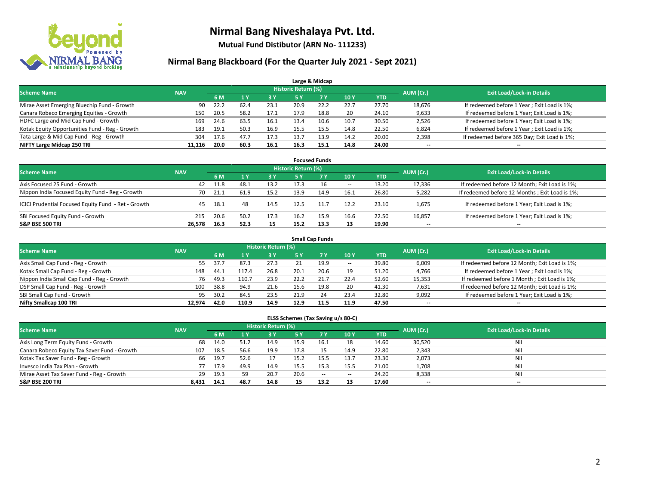

**Mutual Fund Distibutor (ARN No- 111233)**

#### **Nirmal Bang Blackboard (For the Quarter July 2021 - Sept 2021)**

|                                                |            |      |      |           |                                  | Large & Midcap |      |            |        |                                              |
|------------------------------------------------|------------|------|------|-----------|----------------------------------|----------------|------|------------|--------|----------------------------------------------|
| <b>Scheme Name</b>                             | <b>NAV</b> |      |      | AUM (Cr.) | <b>Exit Load/Lock-in Details</b> |                |      |            |        |                                              |
|                                                |            | 6 M  |      | 3 Y       | <b>5 Y</b>                       | <b>7Y</b>      | 10Y  | <b>YTD</b> |        |                                              |
| Mirae Asset Emerging Bluechip Fund - Growth    | 90         | 22.2 | 62.4 | 23.1      | 20.9                             | 22.2           | 22.7 | 27.70      | 18,676 | If redeemed before 1 Year; Exit Load is 1%;  |
| Canara Robeco Emerging Equities - Growth       | 150        | 20.5 | 58.2 | 17.1      | 17.9                             | 18.8           | 20   | 24.10      | 9,633  | If redeemed before 1 Year; Exit Load is 1%;  |
| HDFC Large and Mid Cap Fund - Growth           | 169        | 24.6 | 63.5 | 16.1      | 13.4                             | 10.6           | 10.7 | 30.50      | 2,526  | If redeemed before 1 Year; Exit Load is 1%;  |
| Kotak Equity Opportunities Fund - Reg - Growth | 183        | 19.1 | 50.3 | 16.9      | 15.5                             | 15.5           | 14.8 | 22.50      | 6,824  | If redeemed before 1 Year; Exit Load is 1%;  |
| Tata Large & Mid Cap Fund - Reg - Growth       | 304        | 17.6 | 47.7 | 17.3      | 13.7                             | 13.9           | 14.2 | 20.00      | 2,398  | If redeemed before 365 Day; Exit Load is 1%; |
| NIFTY Large Midcap 250 TRI                     | 11.116     | 20.0 | 60.3 | 16.1      | 16.3                             | 15.1           | 14.8 | 24.00      | $- -$  | $\overline{\phantom{a}}$                     |

|                                                     |            |      |      |            |                     | <b>Focused Funds</b> |                          |            |                          |                                                |
|-----------------------------------------------------|------------|------|------|------------|---------------------|----------------------|--------------------------|------------|--------------------------|------------------------------------------------|
| <b>Scheme Name</b>                                  | <b>NAV</b> |      |      |            | Historic Return (%) |                      |                          |            | AUM (Cr.)                | <b>Exit Load/Lock-in Details</b>               |
|                                                     |            | 6 M  |      | <b>3 Y</b> | 5 Y                 | <b>7Y</b>            | 10Y                      | <b>YTD</b> |                          |                                                |
| Axis Focused 25 Fund - Growth                       | 42         | 11.8 | 48.⊥ | 13.2       | 17.3                |                      | $\overline{\phantom{a}}$ | 13.20      | 17,336                   | If redeemed before 12 Month; Exit Load is 1%;  |
| Nippon India Focused Equity Fund - Reg - Growth     | 70         | 21.1 | 61.9 | 15.2       | 13.9                | 14.9                 | 16.1                     | 26.80      | 5,282                    | If redeemed before 12 Months; Exit Load is 1%; |
| ICICI Prudential Focused Equity Fund - Ret - Growth | 45         | 18.1 | 48   | 14.5       | 12.5                | 11.7                 | 12.2                     | 23.10      | 1,675                    | If redeemed before 1 Year; Exit Load is 1%;    |
| SBI Focused Equity Fund - Growth                    | 215        | 20.6 | 50.2 | 17.3       | 16.2                | 15.9                 | 16.6                     | 22.50      | 16,857                   | If redeemed before 1 Year; Exit Load is 1%;    |
| <b>S&amp;P BSE 500 TRI</b>                          | 26.578     | 16.3 | 52.3 | 15         | 15.2                | 13.3                 | 13                       | 19.90      | $\overline{\phantom{a}}$ | --                                             |

| <b>Small Cap Funds</b>                     |            |      |       |                     |      |           |                          |            |                          |                                               |  |  |  |
|--------------------------------------------|------------|------|-------|---------------------|------|-----------|--------------------------|------------|--------------------------|-----------------------------------------------|--|--|--|
| <b>Scheme Name</b>                         | <b>NAV</b> |      |       | Historic Return (%) |      |           |                          |            | AUM (Cr.)                | <b>Exit Load/Lock-in Details</b>              |  |  |  |
|                                            |            | 6 M  |       | 73 Y.               | 5 Y  | <b>7Y</b> | <b>10Y</b>               | <b>YTD</b> |                          |                                               |  |  |  |
| Axis Small Cap Fund - Reg - Growth         | 55         | 37.7 | 87.3  | 27.3                |      | 19.9      | $\overline{\phantom{a}}$ | 39.80      | 6,009                    | If redeemed before 12 Month; Exit Load is 1%; |  |  |  |
| Kotak Small Cap Fund - Reg - Growth        | 148        | 44.1 | 117.4 | 26.8                | 20.1 | 20.6      | 19                       | 51.20      | 4,766                    | If redeemed before 1 Year; Exit Load is 1%;   |  |  |  |
| Nippon India Small Cap Fund - Reg - Growth | 76         | 49.3 | 110.7 | 23.9                | 22.2 | 21.7      | 22.4                     | 52.60      | 15,353                   | If redeemed before 1 Month; Exit Load is 1%;  |  |  |  |
| DSP Small Cap Fund - Reg - Growth          | 100        | 38.8 | 94.9  | 21.6                | 15.6 | 19.8      | 20                       | 41.30      | 7,631                    | If redeemed before 12 Month; Exit Load is 1%; |  |  |  |
| SBI Small Cap Fund - Growth                | 95         | 30.2 | 84.5  | 23.5                | 21.9 | 24        | 23.4                     | 32.80      | 9,092                    | If redeemed before 1 Year; Exit Load is 1%;   |  |  |  |
| Nifty Smallcap 100 TRI                     | 12.974     | 42.0 | 110.9 | 14.9                | 12.9 |           | 11.9                     | 47.50      | $\overline{\phantom{m}}$ | $- -$                                         |  |  |  |

#### **ELSS Schemes (Tax Saving u/s 80-C)**

| <b>Scheme Name</b>                           | <b>NAV</b> |      |      | Historic Return (%) |      |        |                          |            | AUM (Cr.) | <b>Exit Load/Lock-in Details</b> |
|----------------------------------------------|------------|------|------|---------------------|------|--------|--------------------------|------------|-----------|----------------------------------|
|                                              |            | 6 M  |      | 73 Y.               | 5 Y  | 7Y     | <b>10Y</b>               | <b>YTD</b> |           |                                  |
| Axis Long Term Equity Fund - Growth          | 68         | 14.0 | 51.2 | 14.9                | 15.9 | 16.1   | 18                       | 14.60      | 30,520    | Nil                              |
| Canara Robeco Equity Tax Saver Fund - Growth | 107        | 18.5 | 56.6 | 19.9                | 17.8 |        | 14.9                     | 22.80      | 2,343     | Nil                              |
| Kotak Tax Saver Fund - Reg - Growth          | 66         | 19.7 | 52.6 | 17                  | 15.2 | 15.5   | 13.7                     | 23.30      | 2,073     | Nil                              |
| Invesco India Tax Plan - Growth              | 77         | 17.9 | 49.9 | 14.9                | 15.5 | 15.3   | 15.5                     | 21.00      | 1,708     | Nil                              |
| Mirae Asset Tax Saver Fund - Reg - Growth    | 29         | 19.3 |      | 20.7                | 20.6 | $\sim$ | $\overline{\phantom{a}}$ | 24.20      | 8,338     | Nil                              |
| <b>S&amp;P BSE 200 TRI</b>                   | 8,431      | 14.1 | 48.7 | 14.8                |      | 13.2   | 13                       | 17.60      | $- -$     | --                               |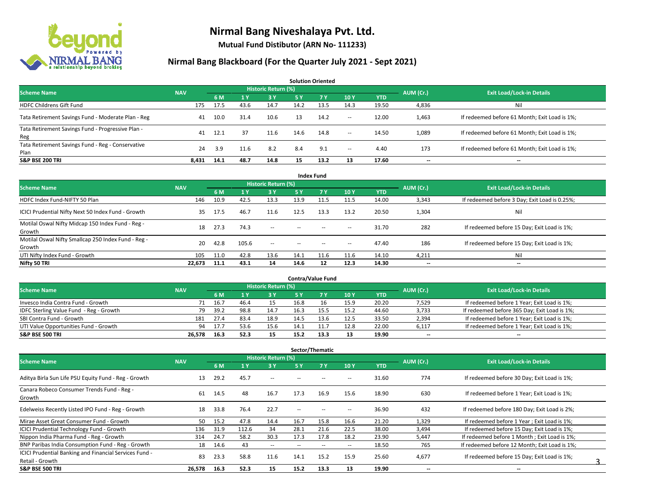

**Mutual Fund Distibutor (ARN No- 111233)**

#### **Nirmal Bang Blackboard (For the Quarter July 2021 - Sept 2021)**

**6 M 1 Y 3 Y 5 Y 7 Y 10 Y YTD** HDFC Childrens Gift Fund 175 17.5 17.5 17.5 17.5 14.7 14.2 13.5 14.3 19.50 14.336 Nil Tata Retirement Savings Fund - Moderate Plan - Reg and Auditional Audition 21.4 10.6 13 14.2 - 12.00 1,463 If redeemed before 61 Month; Exit Load is 1%; Tata Retirement Savings Fund - Progressive Plan - Reg 41 12.1 37 11.6 14.6 14.8 -- 14.50 1,089 If redeemed before 61 Month; Exit Load is 1%; Tata Retirement Savings Fund - Reg - Conservative Plan 2011 123 124 3.9 11.6 8.2 8.4 9.1 - 4.40 173 If redeemed before 61 Month; Exit Load is 1%; **S&P BSE 200 TRI 8,431 14.1 48.7 14.8 15 13.2 13 17.60 -- -- AUM (Cr.) Exit Load/Lock-in Details Solution Oriented Scheme Name** Name Name National Accounts of the NAV *Historic Return (%)* 

| <b>Index Fund</b>                                             |            |      |              |                            |            |        |                          |            |           |                                               |  |  |  |  |
|---------------------------------------------------------------|------------|------|--------------|----------------------------|------------|--------|--------------------------|------------|-----------|-----------------------------------------------|--|--|--|--|
| <b>Scheme Name</b>                                            | <b>NAV</b> |      |              | <b>Historic Return (%)</b> |            |        |                          |            | AUM (Cr.) | <b>Exit Load/Lock-in Details</b>              |  |  |  |  |
|                                                               |            | 6 M  | $\sqrt{1}$ Y | 3 Y                        | <b>5 Y</b> | 7Y     | 10Y                      | <b>YTD</b> |           |                                               |  |  |  |  |
| HDFC Index Fund-NIFTY 50 Plan                                 | 146        | 10.9 | 42.5         | 13.3                       | 13.9       | 11.5   | 11.5                     | 14.00      | 3,343     | If redeemed before 3 Day; Exit Load is 0.25%; |  |  |  |  |
| ICICI Prudential Nifty Next 50 Index Fund - Growth            | 35         | 17.5 | 46.7         | 11.6                       | 12.5       | 13.3   | 13.2                     | 20.50      | 1,304     | Nil                                           |  |  |  |  |
| Motilal Oswal Nifty Midcap 150 Index Fund - Reg -<br>Growth   | 18         | 27.3 | 74.3         | $\overline{\phantom{a}}$   | $\sim$     | $\sim$ | $\hspace{0.05cm} \cdots$ | 31.70      | 282       | If redeemed before 15 Day; Exit Load is 1%;   |  |  |  |  |
| Motilal Oswal Nifty Smallcap 250 Index Fund - Reg -<br>Growth | 20         | 42.8 | 105.6        | $\sim$                     | $\sim$     | $\sim$ | $\sim$                   | 47.40      | 186       | If redeemed before 15 Day; Exit Load is 1%;   |  |  |  |  |
| UTI Nifty Index Fund - Growth                                 | 105        | 11.0 | 42.8         | 13.6                       | 14.1       | 11.6   | 11.6                     | 14.10      | 4,211     | Nil                                           |  |  |  |  |
| Nifty 50 TRI                                                  | 22,673     | 11.1 | 43.1         | 14                         | 14.6       | 12     | 12.3                     | 14.30      | $- -$     | $\overline{\phantom{a}}$                      |  |  |  |  |

| <b>Contra/Value Fund</b>                |            |      |      |                     |      |      |      |            |           |                                              |  |  |  |
|-----------------------------------------|------------|------|------|---------------------|------|------|------|------------|-----------|----------------------------------------------|--|--|--|
| <b>Scheme Name</b>                      | <b>NAV</b> |      |      | Historic Return (%) |      |      |      |            | AUM (Cr.) | <b>Exit Load/Lock-in Details</b>             |  |  |  |
|                                         |            | 6 M  |      | <b>2 V</b>          |      |      | 10Y  | <b>YTD</b> |           |                                              |  |  |  |
| Invesco India Contra Fund - Growth      | 71         | 16.7 | 46.4 | 15                  | 16.8 | 16   | 15.9 | 20.20      | 7,529     | If redeemed before 1 Year; Exit Load is 1%;  |  |  |  |
| IDFC Sterling Value Fund - Reg - Growth | 79         | 39.2 | 98.8 | 14.7                | 16.3 |      | 15.2 | 44.60      | 3,733     | If redeemed before 365 Day; Exit Load is 1%; |  |  |  |
| SBI Contra Fund - Growth                | 181        | 27.4 | 83.4 | 18.9                | 14.5 |      | 12.5 | 33.50      | 2,394     | If redeemed before 1 Year; Exit Load is 1%;  |  |  |  |
| UTI Value Opportunities Fund - Growth   | 94         | 17.7 | 53.6 | 15.6                | 14.1 |      | 12.8 | 22.00      | 6,117     | If redeemed before 1 Year; Exit Load is 1%;  |  |  |  |
| <b>S&amp;P BSE 500 TRI</b>              | 26.578     | 16.3 | 52.3 | 15                  | 15.2 | 13.3 | 13   | 19.90      | $- -$     | $-$                                          |  |  |  |

| Sector/Thematic                                                           |            |      |                |                     |                          |       |                          |            |                          |                                               |  |  |
|---------------------------------------------------------------------------|------------|------|----------------|---------------------|--------------------------|-------|--------------------------|------------|--------------------------|-----------------------------------------------|--|--|
| <b>Scheme Name</b>                                                        | <b>NAV</b> |      |                | Historic Return (%) |                          |       |                          |            | AUM (Cr.)                | <b>Exit Load/Lock-in Details</b>              |  |  |
|                                                                           |            | 6 M  | 1 <sub>Y</sub> | 3 Y                 | 5 Y                      | 7Y    | <b>10Y</b>               | <b>YTD</b> |                          |                                               |  |  |
| Aditya Birla Sun Life PSU Equity Fund - Reg - Growth                      | 13         | 29.2 | 45.7           | $\sim$ $-$          |                          |       | --                       | 31.60      | 774                      | If redeemed before 30 Day; Exit Load is 1%;   |  |  |
| Canara Robeco Consumer Trends Fund - Reg -<br>Growth                      | 61         | 14.5 | 48             | 16.7                | 17.3                     | 16.9  | 15.6                     | 18.90      | 630                      | If redeemed before 1 Year; Exit Load is 1%;   |  |  |
| Edelweiss Recently Listed IPO Fund - Reg - Growth                         | 18         | 33.8 | 76.4           | 22.7                | --                       |       |                          | 36.90      | 432                      | If redeemed before 180 Day; Exit Load is 2%;  |  |  |
| Mirae Asset Great Consumer Fund - Growth                                  | 50         | 15.2 | 47.8           | 14.4                | 16.7                     | 15.8  | 16.6                     | 21.20      | 1,329                    | If redeemed before 1 Year; Exit Load is 1%;   |  |  |
| <b>ICICI Prudential Technology Fund - Growth</b>                          | 136        | 31.9 | 112.6          | 34                  | 28.1                     | 21.6  | 22.5                     | 38.00      | 3,494                    | If redeemed before 15 Day; Exit Load is 1%;   |  |  |
| Nippon India Pharma Fund - Reg - Growth                                   | 314        | 24.7 | 58.2           | 30.3                | 17.3                     | 17.8  | 18.2                     | 23.90      | 5,447                    | If redeemed before 1 Month; Exit Load is 1%;  |  |  |
| BNP Paribas India Consumption Fund - Reg - Growth                         | 18         | 14.6 | 43             | $\sim$ $-$          | $\overline{\phantom{a}}$ | $- -$ | $\hspace{0.05cm} \ldots$ | 18.50      | 765                      | If redeemed before 12 Month: Exit Load is 1%: |  |  |
| ICICI Prudential Banking and Financial Services Fund -<br>Retail - Growth | 83         | 23.3 | 58.8           | 11.6                | 14.1                     | 15.2  | 15.9                     | 25.60      | 4,677                    | If redeemed before 15 Day; Exit Load is 1%;   |  |  |
| <b>S&amp;P BSE 500 TRI</b>                                                | 26,578     | 16.3 | 52.3           | 15                  | 15.2                     | 13.3  | 13                       | 19.90      | $\overline{\phantom{a}}$ | $\overline{\phantom{a}}$                      |  |  |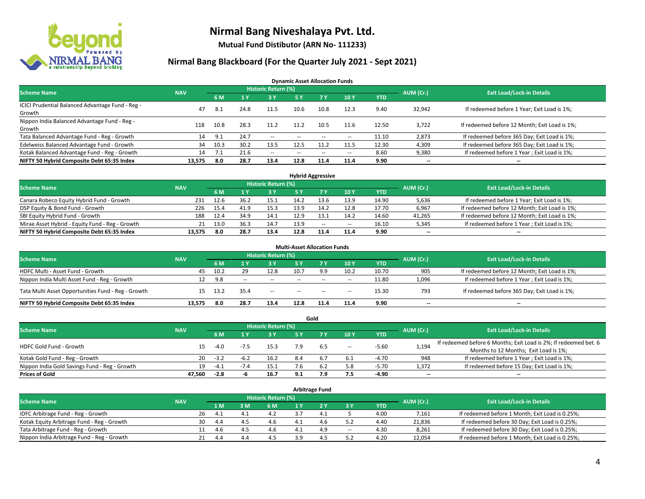

**Mutual Fund Distibutor (ARN No- 111233)**

#### **Nirmal Bang Blackboard (For the Quarter July 2021 - Sept 2021)**

**Dynamic Asset Allocation Funds**

| <b>Scheme Name</b>                                         | <b>NAV</b> |      |      | <b>Historic Return (%)</b> |        |           |                          |            | AUM (Cr.)                | <b>Exit Load/Lock-in Details</b>              |
|------------------------------------------------------------|------------|------|------|----------------------------|--------|-----------|--------------------------|------------|--------------------------|-----------------------------------------------|
|                                                            |            | 6 M  |      | <b>3Y</b>                  | 5 Y    | <b>7Y</b> | 10Y                      | <b>YTD</b> |                          |                                               |
| ICICI Prudential Balanced Advantage Fund - Reg -<br>Growth | 47         | 8.1  | 24.8 | 11.5                       | 10.6   | 10.8      | 12.3                     | 9.40       | 32,942                   | If redeemed before 1 Year; Exit Load is 1%;   |
| Nippon India Balanced Advantage Fund - Reg -<br>Growth     | 118        | 10.8 | 28.3 | 11.2                       | 11.2   | 10.5      | 11.6                     | 12.50      | 3,722                    | If redeemed before 12 Month; Exit Load is 1%; |
| Tata Balanced Advantage Fund - Reg - Growth                | 14         | 9.1  | 24.7 | $\sim$                     | $\sim$ | $- -$     | $\overline{\phantom{a}}$ | 11.10      | 2,873                    | If redeemed before 365 Day; Exit Load is 1%;  |
| Edelweiss Balanced Advantage Fund - Growth                 | 34         | 10.3 | 30.2 | 13.5                       | 12.5   | 11.2      | 11.5                     | 12.30      | 4,309                    | If redeemed before 365 Day; Exit Load is 1%;  |
| Kotak Balanced Advantage Fund - Reg - Growth               | 14         |      | 21.6 | $\sim$                     | $-$    | $\sim$    | $\overline{\phantom{a}}$ | 8.60       | 9,380                    | If redeemed before 1 Year; Exit Load is 1%;   |
| NIFTY 50 Hybrid Composite Debt 65:35 Index                 | 13,575     | 8.0  | 28.7 | 13.4                       | 12.8   | 11.4      | 11.4                     | 9.90       | $\overline{\phantom{a}}$ | --                                            |

| <b>Hybrid Aggressive</b>                        |            |            |      |                            |      |      |        |            |           |                                               |  |  |  |
|-------------------------------------------------|------------|------------|------|----------------------------|------|------|--------|------------|-----------|-----------------------------------------------|--|--|--|
| <b>Scheme Name</b>                              | <b>NAV</b> |            |      | <b>Historic Return (%)</b> |      |      |        |            | AUM (Cr.) | <b>Exit Load/Lock-in Details</b>              |  |  |  |
|                                                 |            | 6 M        |      | 3 Y                        |      |      | 10Y    | <b>YTD</b> |           |                                               |  |  |  |
| Canara Robeco Equity Hybrid Fund - Growth       | 231        | 12.6       | 36.2 | 15.1                       | 14.2 | 13.6 | 13.9   | 14.90      | 5,636     | If redeemed before 1 Year; Exit Load is 1%;   |  |  |  |
| DSP Equity & Bond Fund - Growth                 | 226        | 15.4       | 41.9 | 15.3                       | 13.9 | 14.2 | 12.8   | 17.70      | 6,967     | If redeemed before 12 Month; Exit Load is 1%; |  |  |  |
| SBI Equity Hybrid Fund - Growth                 | 188        | 12.4       | 34.9 | 14.1                       | 12.9 |      | 14.2   | 14.60      | 41,265    | If redeemed before 12 Month; Exit Load is 1%; |  |  |  |
| Mirae Asset Hybrid - Equity Fund - Reg - Growth |            | 13.0<br>21 | 36.3 | 14.7                       | 13.9 | $-$  | $\sim$ | 16.10      | 5,345     | If redeemed before 1 Year; Exit Load is 1%;   |  |  |  |
| NIFTY 50 Hybrid Composite Debt 65:35 Index      | 13.575     | 8.0        | 28.7 | 13.4                       | 12.8 | 11.4 | 11.4   | 9.90       | $- -$     | $- -$                                         |  |  |  |

|                                                    |            |       |       | <b>Historic Return (%)</b> | <b>Multi-Asset Allocation Funds</b> |        |        |            |                          |                                               |
|----------------------------------------------------|------------|-------|-------|----------------------------|-------------------------------------|--------|--------|------------|--------------------------|-----------------------------------------------|
| <b>Scheme Name</b>                                 | <b>NAV</b> | 6 M   |       | 73 Y                       | 5 Y                                 |        | 10Y    | <b>YTD</b> | AUM (Cr.)                | <b>Exit Load/Lock-in Details</b>              |
| HDFC Multi - Asset Fund - Growth                   | 45         | 10.2  | 29    | 12.8                       | 10.7                                | 9.9    | 10.2   | 10.70      | 905                      | If redeemed before 12 Month; Exit Load is 1%; |
| Nippon India Multi Asset Fund - Reg - Growth       |            | 9.8   | $- -$ | $-$                        | $-$                                 | $\sim$ | $\sim$ | 11.80      | 1,096                    | If redeemed before 1 Year; Exit Load is 1%;   |
| Tata Multi Asset Opportunities Fund - Reg - Growth | 15         | -13.2 | 35.4  | $-$                        | $-$                                 | $\sim$ | --     | 15.30      | 793                      | If redeemed before 365 Day; Exit Load is 1%;  |
| NIFTY 50 Hybrid Composite Debt 65:35 Index         | 13.575     | 8.0   | 28.7  | 13.4                       | 12.8                                | 11.4   | 11.4   | 9.90       | $\overline{\phantom{a}}$ | --                                            |

| Gold                                          |            |        |        |                            |     |       |        |            |           |                                                                  |  |  |  |
|-----------------------------------------------|------------|--------|--------|----------------------------|-----|-------|--------|------------|-----------|------------------------------------------------------------------|--|--|--|
| <b>Scheme Name</b>                            | <b>NAV</b> |        |        | <b>Historic Return (%)</b> |     |       |        |            | AUM (Cr.) | <b>Exit Load/Lock-in Details</b>                                 |  |  |  |
|                                               |            | 6 M    |        | <b>3 Y</b>                 | 5 Y |       | 10Y    | <b>YTD</b> |           |                                                                  |  |  |  |
| HDFC Gold Fund - Growth                       |            | $-4.0$ |        | 15.3                       | 7.9 |       |        | $-5.60$    |           | If redeemed before 6 Months; Exit Load is 2%; If redeemed bet. 6 |  |  |  |
|                                               | 15         |        |        |                            |     | 6.5   | $\sim$ |            | 1,194     | Months to 12 Months; Exit Load is 1%;                            |  |  |  |
| Kotak Gold Fund - Reg - Growth                | 20         | $-3.2$ | $-6.2$ | 16.2                       |     |       | 6.1    | $-4.70$    | 948       | If redeemed before 1 Year; Exit Load is 1%;                      |  |  |  |
| Nippon India Gold Savings Fund - Reg - Growth | 19         | -4.1   |        | 15.1                       |     | - 6.2 | 5.8    | -5.70      | 1,372     | If redeemed before 15 Day; Exit Load is 1%;                      |  |  |  |
| <b>Prices of Gold</b>                         | 47.560     | $-2.8$ |        | 16.7                       | 9.1 | 7.9   | 7.5    | -4.90      | $- -$     | $\overline{\phantom{a}}$                                         |  |  |  |

| <b>Arbitrage Fund</b>                      |            |    |     |                     |     |  |      |           |                                  |        |                                                 |  |  |
|--------------------------------------------|------------|----|-----|---------------------|-----|--|------|-----------|----------------------------------|--------|-------------------------------------------------|--|--|
| <b>Scheme Name</b>                         | <b>NAV</b> |    |     | Historic Return (%) |     |  |      | AUM (Cr.) | <b>Exit Load/Lock-in Details</b> |        |                                                 |  |  |
|                                            |            |    | 1 M | $-3M$               | 6 M |  |      | 3 Y       | <b>YTD</b>                       |        |                                                 |  |  |
| IDFC Arbitrage Fund - Reg - Growth         |            | 26 | 4.1 | 4.1                 | 4.2 |  | 4.1  |           | 4.00                             | 7,161  | If redeemed before 1 Month; Exit Load is 0.25%; |  |  |
| Kotak Equity Arbitrage Fund - Reg - Growth |            | 30 | 4.4 | 4.5                 | 4.6 |  | -4.6 |           | 4.40                             | 21,836 | If redeemed before 30 Day; Exit Load is 0.25%;  |  |  |
| Tata Arbitrage Fund - Reg - Growth         |            | 11 |     | 4 F                 | 4.6 |  | 4.9  | $\sim$    | 4.30                             | 8,261  | If redeemed before 30 Day; Exit Load is 0.25%;  |  |  |
| Nippon India Arbitrage Fund - Reg - Growth |            | 21 | 4.4 | 44                  | 4.5 |  | Δ    |           | 4.20                             | 12,054 | If redeemed before 1 Month; Exit Load is 0.25%; |  |  |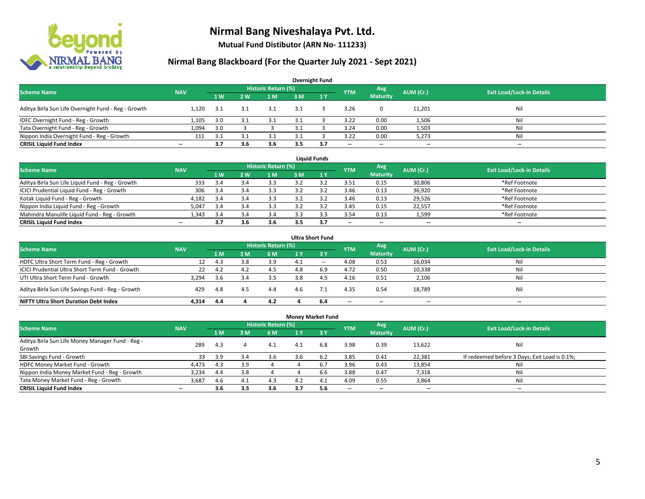

**Mutual Fund Distibutor (ARN No- 111233)**

### **Nirmal Bang Blackboard (For the Quarter July 2021 - Sept 2021)**

| <b>Overnight Fund</b>                               |                          |     |                |                     |     |                |                          |                 |           |                                  |  |  |  |
|-----------------------------------------------------|--------------------------|-----|----------------|---------------------|-----|----------------|--------------------------|-----------------|-----------|----------------------------------|--|--|--|
| <b>Scheme Name</b>                                  | <b>NAV</b>               |     |                | Historic Return (%) |     |                | <b>YTM</b>               | Avg             | AUM (Cr.) | <b>Exit Load/Lock-in Details</b> |  |  |  |
|                                                     |                          | 1 W | 2 <sub>w</sub> | 1 M                 | 3 M | $\sqrt{1}$ $V$ |                          | <b>Maturity</b> |           |                                  |  |  |  |
| Aditya Birla Sun Life Overnight Fund - Reg - Growth | 1.120                    | 3.1 | 3.1            | 3.1                 | 3.1 |                | 3.26                     | $\mathbf{0}$    | 11,201    | Nil                              |  |  |  |
| IDFC Overnight Fund - Reg - Growth                  | 1,105                    | 3.0 |                | 3.1                 |     |                | 3.22                     | 0.00            | 1,506     | Nil                              |  |  |  |
| Tata Overnight Fund - Reg - Growth                  | 1,094                    | 3.0 |                |                     |     |                | 3.24                     | 0.00            | 1,503     | Ni                               |  |  |  |
| Nippon India Overnight Fund - Reg - Growth          | 111                      | 3.1 |                |                     |     |                | 3.22                     | 0.00            | 5,273     | Nil                              |  |  |  |
| <b>CRISIL Liquid Fund Index</b>                     | $\overline{\phantom{a}}$ | 3.7 | 3.6            | 3.6                 | 3.5 | 3.7            | $\overline{\phantom{a}}$ | $- -$           | $- -$     | $-$                              |  |  |  |

| <b>Liquid Funds</b>                              |            |      |     |                     |     |     |                          |                          |           |                                  |  |  |  |
|--------------------------------------------------|------------|------|-----|---------------------|-----|-----|--------------------------|--------------------------|-----------|----------------------------------|--|--|--|
| <b>Scheme Name</b>                               | <b>NAV</b> |      |     | Historic Return (%) |     |     | <b>YTM</b>               | Avg                      | AUM (Cr.) | <b>Exit Load/Lock-in Details</b> |  |  |  |
|                                                  |            | 1W   | 2 W | 1 M                 | 3 M |     |                          | <b>Maturity</b>          |           |                                  |  |  |  |
| Aditya Birla Sun Life Liquid Fund - Reg - Growth | 333        | 3.4  |     | 3.3                 |     |     | 3.51                     | 0.15                     | 30,806    | *Ref Footnote                    |  |  |  |
| ICICI Prudential Liquid Fund - Reg - Growth      | 306        | 3.4  |     | 3.3                 |     |     | 3.46                     | 0.13                     | 36,920    | *Ref Footnote                    |  |  |  |
| Kotak Liquid Fund - Reg - Growth                 | 4,182      | -3.4 |     | 3.3                 |     |     | 3.46                     | 0.13                     | 29,526    | *Ref Footnote                    |  |  |  |
| Nippon India Liquid Fund - Reg - Growth          | 5,047      | 3.4  |     | 3.3                 |     |     | 3.45                     | 0.15                     | 22,557    | *Ref Footnote                    |  |  |  |
| Mahindra Manulife Liquid Fund - Reg - Growth     | 1.343      | 3.4  | 5.4 | 3.4                 |     |     | 3.54                     | 0.13                     | 1,599     | *Ref Footnote                    |  |  |  |
| <b>CRISIL Liquid Fund Index</b>                  | $- -$      | 3.7  | 3.b | 3.6                 | 3.5 | 3.7 | $\overline{\phantom{a}}$ | $\overline{\phantom{a}}$ | $- -$     | $\overline{\phantom{a}}$         |  |  |  |

| <b>Ultra Short Fund</b>                           |            |     |     |                            |                |       |                          |                          |                          |                                  |  |  |  |
|---------------------------------------------------|------------|-----|-----|----------------------------|----------------|-------|--------------------------|--------------------------|--------------------------|----------------------------------|--|--|--|
| <b>Scheme Name</b>                                | <b>NAV</b> |     |     | <b>Historic Return (%)</b> |                |       | <b>YTM</b>               | Avg                      | AUM (Cr.)                | <b>Exit Load/Lock-in Details</b> |  |  |  |
|                                                   |            | 1 M | ιM  | 6 M                        | 4 <sup>Y</sup> | $-3V$ |                          | <b>Maturity</b>          |                          |                                  |  |  |  |
| HDFC Ultra Short Term Fund - Reg - Growth         | 12         | 4.3 |     | 3.9                        |                | $- -$ | 4.08                     | 0.53                     | 16,034                   | Nil                              |  |  |  |
| ICICI Prudential Ultra Short Term Fund - Growth   | 22         | 4.2 | 4.2 | 4.5                        |                | 6.9   | 4.72                     | 0.50                     | 10,338                   | Nil                              |  |  |  |
| UTI Ultra Short Term Fund - Growth                | 3,294      | 3.6 |     | 3.5                        | 3.8            | 4.5   | 4.16                     | 0.51                     | 2,106                    | Nil                              |  |  |  |
| Aditya Birla Sun Life Savings Fund - Reg - Growth | 429        | 4.8 | 4.5 | 4.4                        | 4.6            |       | 4.35                     | 0.54                     | 18,789                   | Nil                              |  |  |  |
| <b>NIFTY Ultra Short Duration Debt Index</b>      | 4.314      | 4.4 |     | 4.2                        |                | 6.4   | $\overline{\phantom{a}}$ | $\overline{\phantom{a}}$ | $\overline{\phantom{a}}$ | $-$                              |  |  |  |

|                                                            |            |     |     |                     | <b>Money Market Fund</b> |            |            |                          |                          |                                               |
|------------------------------------------------------------|------------|-----|-----|---------------------|--------------------------|------------|------------|--------------------------|--------------------------|-----------------------------------------------|
| <b>Scheme Name</b>                                         | <b>NAV</b> |     |     | Historic Return (%) |                          |            | <b>YTM</b> | Avg                      | AUM (Cr.)                | <b>Exit Load/Lock-in Details</b>              |
|                                                            |            | 1 M | 3M  | 6 M                 | 1 Y                      | <b>73Y</b> |            | <b>Maturity</b>          |                          |                                               |
| Aditya Birla Sun Life Money Manager Fund - Reg -<br>Growth | 289        | 4.3 | 4   | 4.1                 | 4.1                      | 6.8        | 3.98       | 0.39                     | 13,622                   | Nil                                           |
| SBI Savings Fund - Growth                                  | 33         | 3.9 | 3.4 | 3.6                 | 3.6                      | 6.2        | 3.85       | 0.41                     | 22,381                   | If redeemed before 3 Days; Exit Load is 0.1%; |
| HDFC Money Market Fund - Growth                            | 4,473      | 4.3 | 3.9 | 4                   |                          | 6.7        | 3.96       | 0.43                     | 13,854                   | Nil                                           |
| Nippon India Money Market Fund - Reg - Growth              | 3.234      | 4.4 | 3.8 |                     |                          | 6.6        | 3.88       | 0.47                     | 7,318                    | Nil                                           |
| Tata Money Market Fund - Reg - Growth                      | 3,687      | 4.6 | 4.1 | 4.3                 | 4.2                      | 4.1        | 4.09       | 0.55                     | 3,864                    | Nil                                           |
| <b>CRISIL Liquid Fund Index</b>                            | $- -$      | 3.6 | 3.5 | 3.6                 | 3.7                      | 5.6        | --         | $\overline{\phantom{a}}$ | $\overline{\phantom{a}}$ | $-$                                           |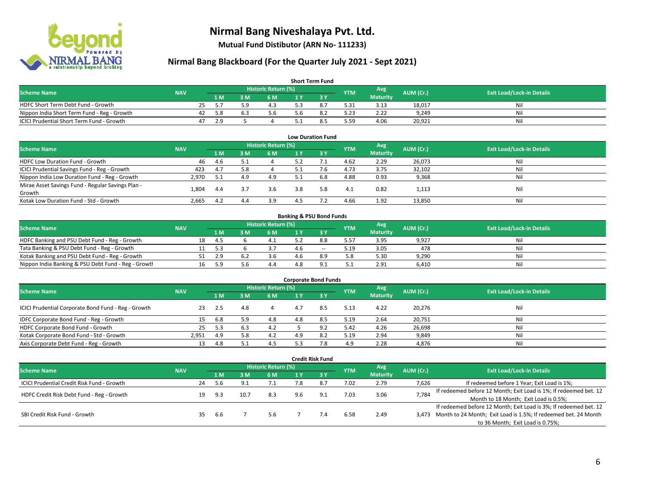

**Mutual Fund Distibutor (ARN No- 111233)**

### **Nirmal Bang Blackboard (For the Quarter July 2021 - Sept 2021)**

| <b>Short Term Fund</b>                           |            |    |     |     |                     |  |  |            |                 |           |                                  |  |  |  |
|--------------------------------------------------|------------|----|-----|-----|---------------------|--|--|------------|-----------------|-----------|----------------------------------|--|--|--|
| <b>Scheme Name</b>                               | <b>NAV</b> |    |     |     | Historic Return (%) |  |  | <b>YTM</b> | Avg             | AUM (Cr.) | <b>Exit Load/Lock-in Details</b> |  |  |  |
|                                                  |            |    | 1 M | 3 M | 6 M                 |  |  |            | <b>Maturity</b> |           |                                  |  |  |  |
| HDFC Short Term Debt Fund - Growth               |            | 25 |     | ς ο | 4.3                 |  |  | 5.31       | 3.13            | 18,017    | Nil                              |  |  |  |
| Nippon India Short Term Fund - Reg - Growth      |            | 42 | 5.8 |     | 5.6                 |  |  | .23        | 2.22            | 9.249     | Nil                              |  |  |  |
| <b>ICICI Prudential Short Term Fund - Growth</b> |            | 47 | 2.9 |     |                     |  |  | 559.ر      | 4.06            | 20,921    | Nil                              |  |  |  |

| <b>Low Duration Fund</b>                          |            |     |     |                            |     |     |            |                 |           |                                  |  |  |  |
|---------------------------------------------------|------------|-----|-----|----------------------------|-----|-----|------------|-----------------|-----------|----------------------------------|--|--|--|
| <b>Scheme Name</b>                                | <b>NAV</b> |     |     | <b>Historic Return (%)</b> |     |     | <b>YTM</b> | Avg             | AUM (Cr.) | <b>Exit Load/Lock-in Details</b> |  |  |  |
|                                                   |            | 1 M | 3 M | 6 M                        |     | 3Y  |            | <b>Maturity</b> |           |                                  |  |  |  |
| HDFC Low Duration Fund - Growth                   | 46         | 4.6 |     |                            | 5.2 |     | 4.62       | 2.29            | 26,073    | Nil                              |  |  |  |
| ICICI Prudential Savings Fund - Reg - Growth      | 423        | 4.7 | 5.8 |                            | 5.1 | 7.6 | 4.73       | 3.75            | 32,102    | Nil                              |  |  |  |
| Nippon India Low Duration Fund - Reg - Growth     | 2,970      | 5.1 | 4.9 | 4.9                        | 5.1 | 6.8 | 4.88       | 0.93            | 9,368     | Nil                              |  |  |  |
| Mirae Asset Savings Fund - Regular Savings Plan - | 1.804      | 4.4 |     | 3.6                        | 3.8 | 5.8 | 4.1        | 0.82            |           | Nil                              |  |  |  |
| Growth                                            |            |     |     |                            |     |     |            |                 | 1,113     |                                  |  |  |  |
| Kotak Low Duration Fund - Std - Growth            | 2,665      | 4.2 | 4.4 | 3.9                        | 4.5 |     | 4.66       | 1.92            | 13,850    | Nil                              |  |  |  |

| <b>Banking &amp; PSU Bond Funds</b>                 |            |    |       |     |                     |     |        |            |                 |           |                                  |  |  |
|-----------------------------------------------------|------------|----|-------|-----|---------------------|-----|--------|------------|-----------------|-----------|----------------------------------|--|--|
| <b>Scheme Name</b>                                  | <b>NAV</b> |    |       |     | Historic Return (%) |     |        | <b>YTM</b> | Avg             | AUM (Cr.) | <b>Exit Load/Lock-in Details</b> |  |  |
|                                                     |            |    | 1 M / | ያ M | 6 M                 |     |        |            | <b>Maturity</b> |           |                                  |  |  |
| HDFC Banking and PSU Debt Fund - Reg - Growth       |            | 18 | -4.5  |     |                     |     | 8.8    | 5.57       | 3.95            | 9,927     | Nil                              |  |  |
| Tata Banking & PSU Debt Fund - Reg - Growth         |            |    | -5.3  |     |                     | 4 R | $\sim$ | 5.19       | 3.05            | 478       | Nil                              |  |  |
| Kotak Banking and PSU Debt Fund - Reg - Growth      |            |    | 2.9   |     | 3.6                 | 4.6 | 8.9    | 5.8        | 5.30            | 9.290     | Nil                              |  |  |
| Nippon India Banking & PSU Debt Fund - Reg - Growth |            |    | 5.9   | 5.6 | 4.4                 |     |        | <u>.</u>   | 2.91            | 6.410     | Nil                              |  |  |

| <b>Corporate Bond Funds</b>                         |            |     |     |                            |     |      |            |                 |           |                                  |  |  |  |  |
|-----------------------------------------------------|------------|-----|-----|----------------------------|-----|------|------------|-----------------|-----------|----------------------------------|--|--|--|--|
| <b>Scheme Name</b>                                  | <b>NAV</b> |     |     | <b>Historic Return (%)</b> |     |      | <b>YTM</b> | Avg             | AUM (Cr.) | <b>Exit Load/Lock-in Details</b> |  |  |  |  |
|                                                     |            | 1 M | з м | 6 M                        |     | -3 Y |            | <b>Maturity</b> |           |                                  |  |  |  |  |
| ICICI Prudential Corporate Bond Fund - Reg - Growth | 23         | 2.5 | 4.8 |                            | 4.7 | 8.5  | 5.13       | 4.22            | 20,276    | Nil                              |  |  |  |  |
| IDFC Corporate Bond Fund - Reg - Growth             |            | 6.8 | 5.9 | 4.8                        | 4.8 | 8.5  | 5.19       | 2.64            | 20,751    | Nil                              |  |  |  |  |
| HDFC Corporate Bond Fund - Growth                   | 25         | 5.3 |     | 4.2                        |     |      | 5.42       | 4.26            | 26,698    | Nil                              |  |  |  |  |
| Kotak Corporate Bond Fund - Std - Growth            | 2.951      | 4.9 | 5.8 | 4.2                        | 4.9 |      | 5.19       | 2.94            | 9,849     | Nil                              |  |  |  |  |
| Axis Corporate Debt Fund - Reg - Growth             | 13         | 4.8 |     | 4.5                        |     | 70   | 4.9        | 2.28            | 4,876     | Nil                              |  |  |  |  |

|                                            |            |    |                            |      |     |     | <b>Credit Risk Fund</b> |            |                 |           |                                                                       |
|--------------------------------------------|------------|----|----------------------------|------|-----|-----|-------------------------|------------|-----------------|-----------|-----------------------------------------------------------------------|
| <b>Scheme Name</b>                         | <b>NAV</b> |    | <b>Historic Return (%)</b> |      |     |     |                         |            | Avg             | AUM (Cr.) | <b>Exit Load/Lock-in Details</b>                                      |
|                                            |            |    | 1 M                        | 3 M  | 6 M | 1 Y | $-3V$                   | <b>YTM</b> | <b>Maturity</b> |           |                                                                       |
| ICICI Prudential Credit Risk Fund - Growth |            | 24 | 5.6                        | Q    | 7.1 | 7.8 |                         | 7.02       | 2.79            | 7,626     | If redeemed before 1 Year; Exit Load is 1%;                           |
| HDFC Credit Risk Debt Fund - Reg - Growth  |            | 19 | 9.3                        | 10.7 | 8.3 | 9.6 | 9.1                     | 7.03       | 3.06            | 7,784     | If redeemed before 12 Month; Exit Load is 1%; If redeemed bet. 12     |
|                                            |            |    |                            |      |     |     |                         |            |                 |           | Month to 18 Month; Exit Load is 0.5%;                                 |
|                                            |            |    |                            |      |     |     |                         |            |                 |           | If redeemed before 12 Month; Exit Load is 3%; If redeemed bet. 12     |
| SBI Credit Risk Fund - Growth              |            | 35 | -6.6                       |      | 5.6 |     | 7.4                     | 6.58       | 2.49            |           | 3,473 Month to 24 Month; Exit Load is 1.5%; If redeemed bet. 24 Month |
|                                            |            |    |                            |      |     |     |                         |            |                 |           | to 36 Month; Exit Load is 0.75%;                                      |